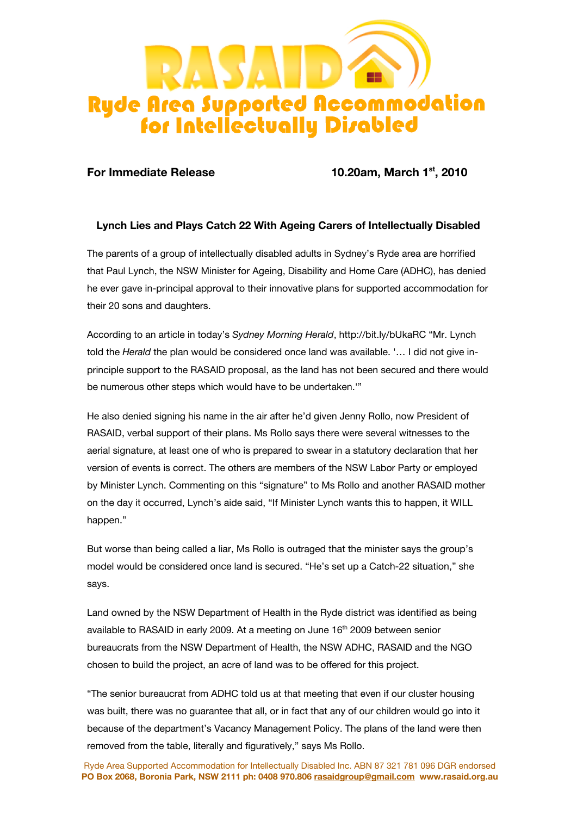

**For Immediate Release 10.20am, March 1st, 2010** 

## **Lynch Lies and Plays Catch 22 With Ageing Carers of Intellectually Disabled**

The parents of a group of intellectually disabled adults in Sydney's Ryde area are horrified that Paul Lynch, the NSW Minister for Ageing, Disability and Home Care (ADHC), has denied he ever gave in-principal approval to their innovative plans for supported accommodation for their 20 sons and daughters.

According to an article in today's *Sydney Morning Herald*, http://bit.ly/bUkaRC "Mr. Lynch told the *Herald* the plan would be considered once land was available. '… I did not give inprinciple support to the RASAID proposal, as the land has not been secured and there would be numerous other steps which would have to be undertaken.'"

He also denied signing his name in the air after he'd given Jenny Rollo, now President of RASAID, verbal support of their plans. Ms Rollo says there were several witnesses to the aerial signature, at least one of who is prepared to swear in a statutory declaration that her version of events is correct. The others are members of the NSW Labor Party or employed by Minister Lynch. Commenting on this "signature" to Ms Rollo and another RASAID mother on the day it occurred, Lynch's aide said, "If Minister Lynch wants this to happen, it WILL happen."

But worse than being called a liar, Ms Rollo is outraged that the minister says the group's model would be considered once land is secured. "He's set up a Catch-22 situation," she says.

Land owned by the NSW Department of Health in the Ryde district was identified as being available to RASAID in early 2009. At a meeting on June 16<sup>th</sup> 2009 between senior bureaucrats from the NSW Department of Health, the NSW ADHC, RASAID and the NGO chosen to build the project, an acre of land was to be offered for this project.

"The senior bureaucrat from ADHC told us at that meeting that even if our cluster housing was built, there was no guarantee that all, or in fact that any of our children would go into it because of the department's Vacancy Management Policy. The plans of the land were then removed from the table, literally and figuratively," says Ms Rollo.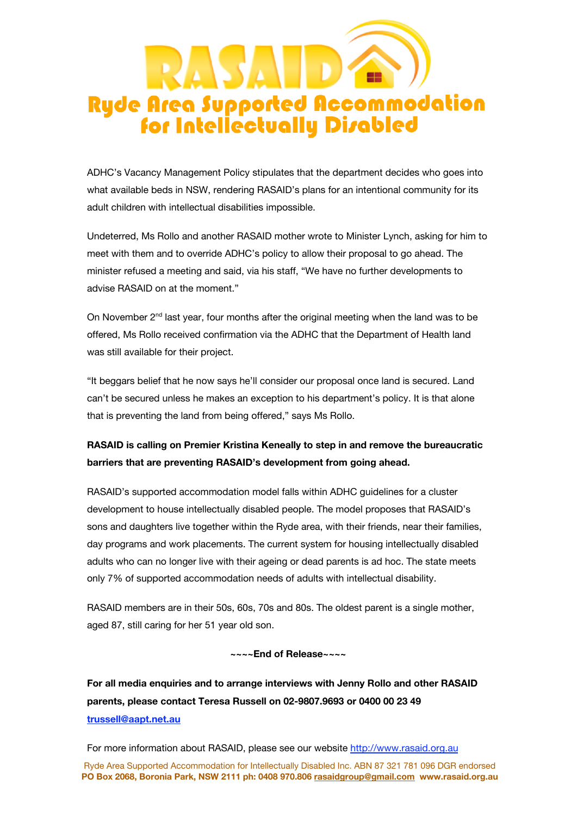

ADHC's Vacancy Management Policy stipulates that the department decides who goes into what available beds in NSW, rendering RASAID's plans for an intentional community for its adult children with intellectual disabilities impossible.

Undeterred, Ms Rollo and another RASAID mother wrote to Minister Lynch, asking for him to meet with them and to override ADHC's policy to allow their proposal to go ahead. The minister refused a meeting and said, via his staff, "We have no further developments to advise RASAID on at the moment."

On November  $2<sup>nd</sup>$  last year, four months after the original meeting when the land was to be offered, Ms Rollo received confirmation via the ADHC that the Department of Health land was still available for their project.

"It beggars belief that he now says he'll consider our proposal once land is secured. Land can't be secured unless he makes an exception to his department's policy. It is that alone that is preventing the land from being offered," says Ms Rollo.

## **RASAID is calling on Premier Kristina Keneally to step in and remove the bureaucratic barriers that are preventing RASAID's development from going ahead.**

RASAID's supported accommodation model falls within ADHC guidelines for a cluster development to house intellectually disabled people. The model proposes that RASAID's sons and daughters live together within the Ryde area, with their friends, near their families, day programs and work placements. The current system for housing intellectually disabled adults who can no longer live with their ageing or dead parents is ad hoc. The state meets only 7% of supported accommodation needs of adults with intellectual disability.

RASAID members are in their 50s, 60s, 70s and 80s. The oldest parent is a single mother, aged 87, still caring for her 51 year old son.

**~~~~End of Release~~~~**

**For all media enquiries and to arrange interviews with Jenny Rollo and other RASAID parents, please contact Teresa Russell on 02-9807.9693 or 0400 00 23 49 trussell@aapt.net.au**

For more information about RASAID, please see our website http://www.rasaid.org.au

Ryde Area Supported Accommodation for Intellectually Disabled Inc. ABN 87 321 781 096 DGR endorsed **PO Box 2068, Boronia Park, NSW 2111 ph: 0408 970.806 rasaidgroup@gmail.com www.rasaid.org.au**